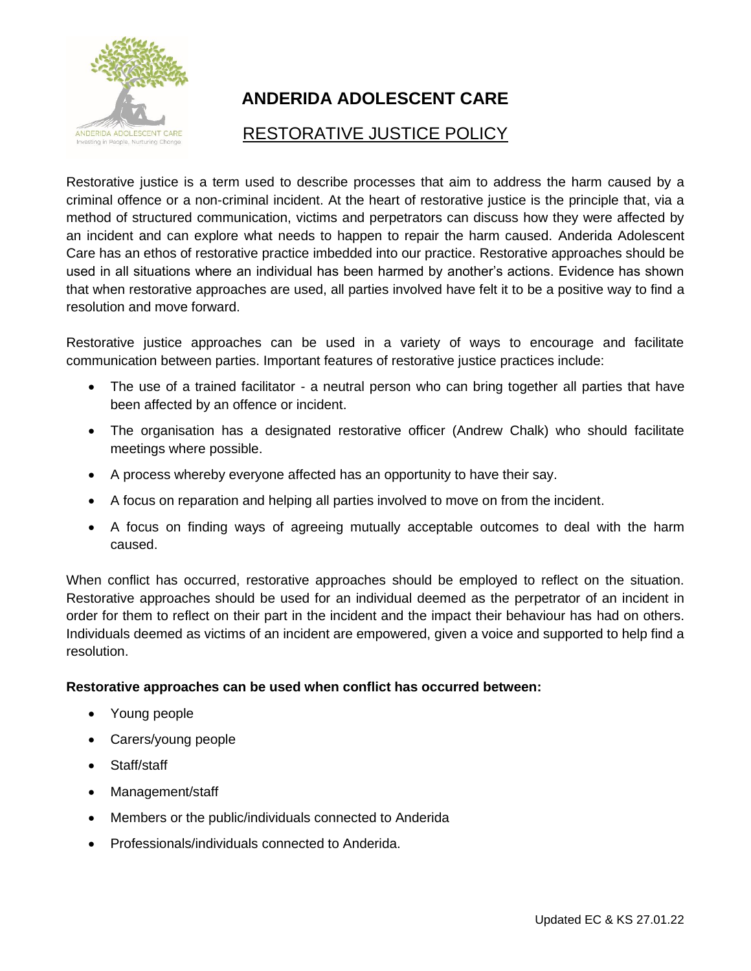

## **ANDERIDA ADOLESCENT CARE**

## RESTORATIVE JUSTICE POLICY

Restorative justice is a term used to describe processes that aim to address the harm caused by a criminal offence or a non-criminal incident. At the heart of restorative justice is the principle that, via a method of structured communication, victims and perpetrators can discuss how they were affected by an incident and can explore what needs to happen to repair the harm caused. Anderida Adolescent Care has an ethos of restorative practice imbedded into our practice. Restorative approaches should be used in all situations where an individual has been harmed by another's actions. Evidence has shown that when restorative approaches are used, all parties involved have felt it to be a positive way to find a resolution and move forward.

Restorative justice approaches can be used in a variety of ways to encourage and facilitate communication between parties. Important features of restorative justice practices include:

- The use of a trained facilitator a neutral person who can bring together all parties that have been affected by an offence or incident.
- The organisation has a designated restorative officer (Andrew Chalk) who should facilitate meetings where possible.
- A process whereby everyone affected has an opportunity to have their say.
- A focus on reparation and helping all parties involved to move on from the incident.
- A focus on finding ways of agreeing mutually acceptable outcomes to deal with the harm caused.

When conflict has occurred, restorative approaches should be employed to reflect on the situation. Restorative approaches should be used for an individual deemed as the perpetrator of an incident in order for them to reflect on their part in the incident and the impact their behaviour has had on others. Individuals deemed as victims of an incident are empowered, given a voice and supported to help find a resolution.

## **Restorative approaches can be used when conflict has occurred between:**

- Young people
- Carers/young people
- Staff/staff
- Management/staff
- Members or the public/individuals connected to Anderida
- Professionals/individuals connected to Anderida.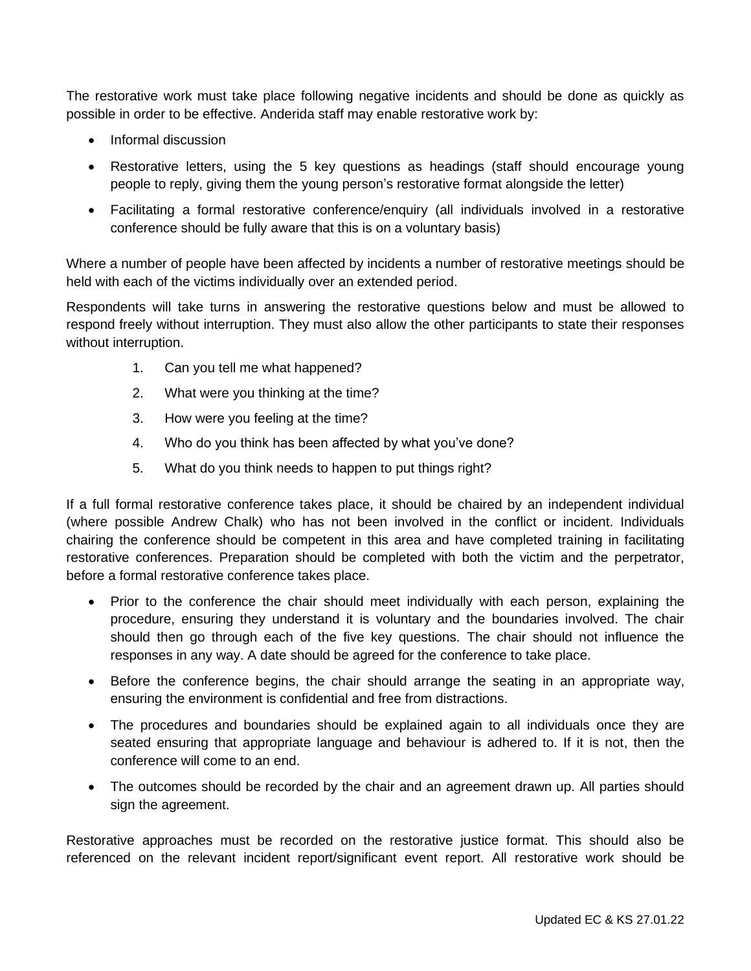The restorative work must take place following negative incidents and should be done as quickly as possible in order to be effective. Anderida staff may enable restorative work by:

- Informal discussion
- Restorative letters, using the 5 key questions as headings (staff should encourage young people to reply, giving them the young person's restorative format alongside the letter)
- Facilitating a formal restorative conference/enquiry (all individuals involved in a restorative conference should be fully aware that this is on a voluntary basis)

Where a number of people have been affected by incidents a number of restorative meetings should be held with each of the victims individually over an extended period.

Respondents will take turns in answering the restorative questions below and must be allowed to respond freely without interruption. They must also allow the other participants to state their responses without interruption.

- 1. Can you tell me what happened?
- 2. What were you thinking at the time?
- 3. How were you feeling at the time?
- 4. Who do you think has been affected by what you've done?
- 5. What do you think needs to happen to put things right?

If a full formal restorative conference takes place, it should be chaired by an independent individual (where possible Andrew Chalk) who has not been involved in the conflict or incident. Individuals chairing the conference should be competent in this area and have completed training in facilitating restorative conferences. Preparation should be completed with both the victim and the perpetrator, before a formal restorative conference takes place.

- Prior to the conference the chair should meet individually with each person, explaining the procedure, ensuring they understand it is voluntary and the boundaries involved. The chair should then go through each of the five key questions. The chair should not influence the responses in any way. A date should be agreed for the conference to take place.
- Before the conference begins, the chair should arrange the seating in an appropriate way, ensuring the environment is confidential and free from distractions.
- The procedures and boundaries should be explained again to all individuals once they are seated ensuring that appropriate language and behaviour is adhered to. If it is not, then the conference will come to an end.
- The outcomes should be recorded by the chair and an agreement drawn up. All parties should sign the agreement.

Restorative approaches must be recorded on the restorative justice format. This should also be referenced on the relevant incident report/significant event report. All restorative work should be